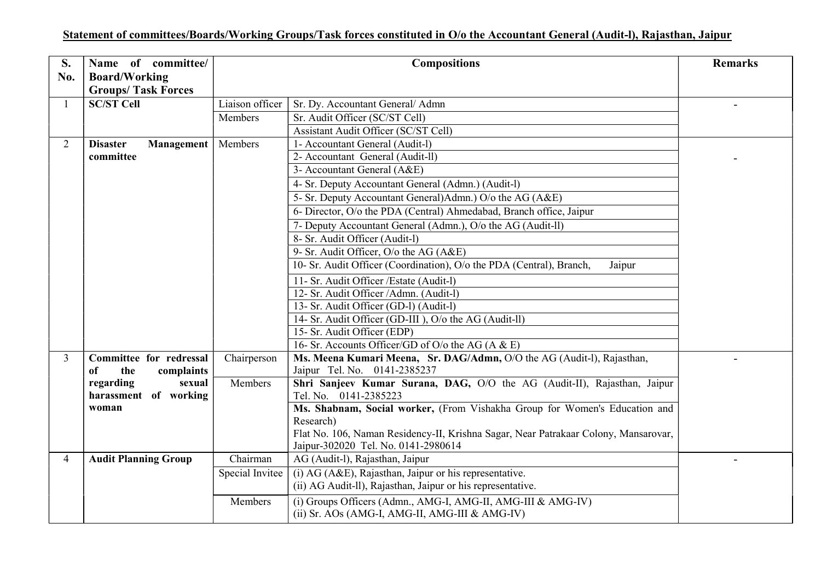## Statement of committees/Boards/Working Groups/Task forces constituted in O/o the Accountant General (Audit-l), Rajasthan, Jaipur

| Name of committee/<br><b>Board/Working</b> | <b>Compositions</b>                                                                                                                      |                                                                     | <b>Remarks</b>                                                                                                                                                                                                                                                                                                                                                                                                                                                                                                                                                                                   |
|--------------------------------------------|------------------------------------------------------------------------------------------------------------------------------------------|---------------------------------------------------------------------|--------------------------------------------------------------------------------------------------------------------------------------------------------------------------------------------------------------------------------------------------------------------------------------------------------------------------------------------------------------------------------------------------------------------------------------------------------------------------------------------------------------------------------------------------------------------------------------------------|
| <b>SC/ST Cell</b>                          | Liaison officer                                                                                                                          | Sr. Dy. Accountant General/ Admn                                    |                                                                                                                                                                                                                                                                                                                                                                                                                                                                                                                                                                                                  |
|                                            | Members                                                                                                                                  | Sr. Audit Officer (SC/ST Cell)                                      |                                                                                                                                                                                                                                                                                                                                                                                                                                                                                                                                                                                                  |
|                                            |                                                                                                                                          | Assistant Audit Officer (SC/ST Cell)                                |                                                                                                                                                                                                                                                                                                                                                                                                                                                                                                                                                                                                  |
| <b>Disaster</b><br>Management              | Members                                                                                                                                  | 1- Accountant General (Audit-l)                                     |                                                                                                                                                                                                                                                                                                                                                                                                                                                                                                                                                                                                  |
| committee                                  |                                                                                                                                          | 2- Accountant General (Audit-ll)                                    |                                                                                                                                                                                                                                                                                                                                                                                                                                                                                                                                                                                                  |
|                                            |                                                                                                                                          | 3- Accountant General (A&E)                                         |                                                                                                                                                                                                                                                                                                                                                                                                                                                                                                                                                                                                  |
|                                            |                                                                                                                                          | 4- Sr. Deputy Accountant General (Admn.) (Audit-l)                  |                                                                                                                                                                                                                                                                                                                                                                                                                                                                                                                                                                                                  |
|                                            |                                                                                                                                          | 5- Sr. Deputy Accountant General) Admn.) O/o the AG (A&E)           |                                                                                                                                                                                                                                                                                                                                                                                                                                                                                                                                                                                                  |
|                                            |                                                                                                                                          | 6- Director, O/o the PDA (Central) Ahmedabad, Branch office, Jaipur |                                                                                                                                                                                                                                                                                                                                                                                                                                                                                                                                                                                                  |
|                                            |                                                                                                                                          | 7- Deputy Accountant General (Admn.), O/o the AG (Audit-ll)         |                                                                                                                                                                                                                                                                                                                                                                                                                                                                                                                                                                                                  |
|                                            |                                                                                                                                          | 8- Sr. Audit Officer (Audit-l)                                      |                                                                                                                                                                                                                                                                                                                                                                                                                                                                                                                                                                                                  |
|                                            |                                                                                                                                          | 9- Sr. Audit Officer, O/o the AG (A&E)                              |                                                                                                                                                                                                                                                                                                                                                                                                                                                                                                                                                                                                  |
|                                            |                                                                                                                                          | Jaipur                                                              |                                                                                                                                                                                                                                                                                                                                                                                                                                                                                                                                                                                                  |
|                                            |                                                                                                                                          | 11- Sr. Audit Officer / Estate (Audit-l)                            |                                                                                                                                                                                                                                                                                                                                                                                                                                                                                                                                                                                                  |
|                                            |                                                                                                                                          | 12- Sr. Audit Officer / Admn. (Audit-l)                             |                                                                                                                                                                                                                                                                                                                                                                                                                                                                                                                                                                                                  |
|                                            |                                                                                                                                          | 13- Sr. Audit Officer (GD-l) (Audit-l)                              |                                                                                                                                                                                                                                                                                                                                                                                                                                                                                                                                                                                                  |
|                                            |                                                                                                                                          | 14- Sr. Audit Officer (GD-III), O/o the AG (Audit-ll)               |                                                                                                                                                                                                                                                                                                                                                                                                                                                                                                                                                                                                  |
|                                            |                                                                                                                                          |                                                                     |                                                                                                                                                                                                                                                                                                                                                                                                                                                                                                                                                                                                  |
|                                            |                                                                                                                                          |                                                                     |                                                                                                                                                                                                                                                                                                                                                                                                                                                                                                                                                                                                  |
|                                            |                                                                                                                                          |                                                                     |                                                                                                                                                                                                                                                                                                                                                                                                                                                                                                                                                                                                  |
|                                            |                                                                                                                                          |                                                                     |                                                                                                                                                                                                                                                                                                                                                                                                                                                                                                                                                                                                  |
|                                            |                                                                                                                                          |                                                                     |                                                                                                                                                                                                                                                                                                                                                                                                                                                                                                                                                                                                  |
|                                            |                                                                                                                                          |                                                                     |                                                                                                                                                                                                                                                                                                                                                                                                                                                                                                                                                                                                  |
|                                            |                                                                                                                                          |                                                                     |                                                                                                                                                                                                                                                                                                                                                                                                                                                                                                                                                                                                  |
|                                            |                                                                                                                                          |                                                                     |                                                                                                                                                                                                                                                                                                                                                                                                                                                                                                                                                                                                  |
|                                            |                                                                                                                                          |                                                                     |                                                                                                                                                                                                                                                                                                                                                                                                                                                                                                                                                                                                  |
| <b>Audit Planning Group</b>                | Chairman                                                                                                                                 | AG (Audit-l), Rajasthan, Jaipur                                     |                                                                                                                                                                                                                                                                                                                                                                                                                                                                                                                                                                                                  |
|                                            | Special Invitee                                                                                                                          | $(i)$ AG (A&E), Rajasthan, Jaipur or his representative.            |                                                                                                                                                                                                                                                                                                                                                                                                                                                                                                                                                                                                  |
|                                            |                                                                                                                                          | (ii) AG Audit-Il), Rajasthan, Jaipur or his representative.         |                                                                                                                                                                                                                                                                                                                                                                                                                                                                                                                                                                                                  |
|                                            | Members                                                                                                                                  | (i) Groups Officers (Admn., AMG-I, AMG-II, AMG-III & AMG-IV)        |                                                                                                                                                                                                                                                                                                                                                                                                                                                                                                                                                                                                  |
|                                            |                                                                                                                                          | (ii) Sr. AOs (AMG-I, AMG-II, AMG-III & AMG-IV)                      |                                                                                                                                                                                                                                                                                                                                                                                                                                                                                                                                                                                                  |
|                                            | <b>Groups/Task Forces</b><br>Committee for redressal<br>complaints<br>the<br>оf<br>sexual<br>regarding<br>harassment of working<br>woman | Chairperson<br>Members                                              | 10- Sr. Audit Officer (Coordination), O/o the PDA (Central), Branch,<br>15- Sr. Audit Officer (EDP)<br>16- Sr. Accounts Officer/GD of O/o the AG (A & E)<br>Ms. Meena Kumari Meena, Sr. DAG/Admn, O/O the AG (Audit-l), Rajasthan,<br>Jaipur Tel. No. 0141-2385237<br>Shri Sanjeev Kumar Surana, DAG, O/O the AG (Audit-II), Rajasthan, Jaipur<br>Tel. No. 0141-2385223<br>Ms. Shabnam, Social worker, (From Vishakha Group for Women's Education and<br>Research)<br>Flat No. 106, Naman Residency-II, Krishna Sagar, Near Patrakaar Colony, Mansarovar,<br>Jaipur-302020 Tel. No. 0141-2980614 |